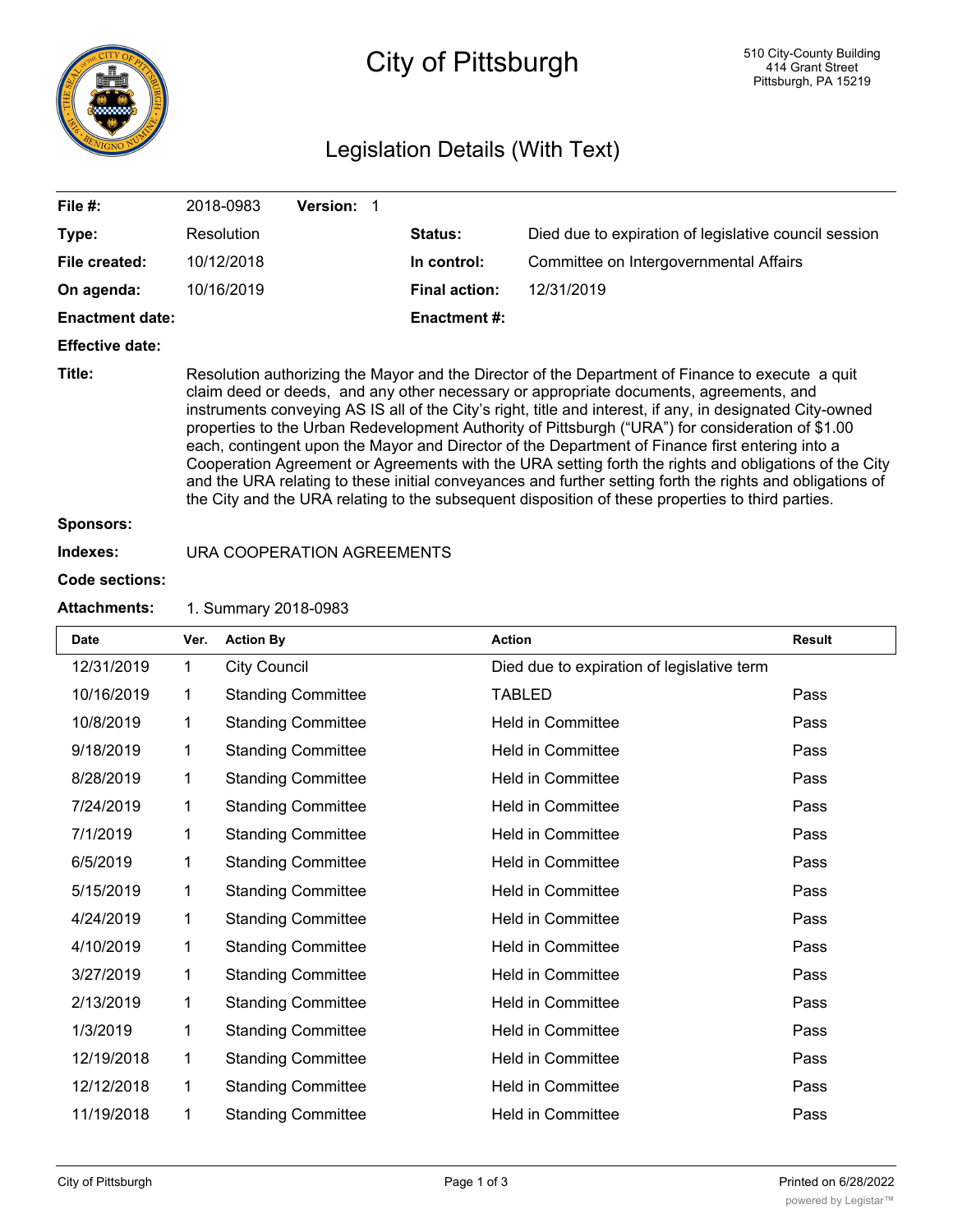

# City of Pittsburgh

## Legislation Details (With Text)

| File #:                | 2018-0983                                                                                                                                                                                                                                                                                                                                                                                                                                                                                                                                                                                                                                                                                                                                                                                                                                  | <b>Version:</b> |  |                      |                                                       |  |
|------------------------|--------------------------------------------------------------------------------------------------------------------------------------------------------------------------------------------------------------------------------------------------------------------------------------------------------------------------------------------------------------------------------------------------------------------------------------------------------------------------------------------------------------------------------------------------------------------------------------------------------------------------------------------------------------------------------------------------------------------------------------------------------------------------------------------------------------------------------------------|-----------------|--|----------------------|-------------------------------------------------------|--|
| Type:                  | Resolution                                                                                                                                                                                                                                                                                                                                                                                                                                                                                                                                                                                                                                                                                                                                                                                                                                 |                 |  | Status:              | Died due to expiration of legislative council session |  |
| File created:          | 10/12/2018                                                                                                                                                                                                                                                                                                                                                                                                                                                                                                                                                                                                                                                                                                                                                                                                                                 |                 |  | In control:          | Committee on Intergovernmental Affairs                |  |
| On agenda:             | 10/16/2019                                                                                                                                                                                                                                                                                                                                                                                                                                                                                                                                                                                                                                                                                                                                                                                                                                 |                 |  | <b>Final action:</b> | 12/31/2019                                            |  |
| <b>Enactment date:</b> |                                                                                                                                                                                                                                                                                                                                                                                                                                                                                                                                                                                                                                                                                                                                                                                                                                            |                 |  | <b>Enactment #:</b>  |                                                       |  |
| <b>Effective date:</b> |                                                                                                                                                                                                                                                                                                                                                                                                                                                                                                                                                                                                                                                                                                                                                                                                                                            |                 |  |                      |                                                       |  |
| Title:                 | Resolution authorizing the Mayor and the Director of the Department of Finance to execute a quit<br>claim deed or deeds, and any other necessary or appropriate documents, agreements, and<br>instruments conveying AS IS all of the City's right, title and interest, if any, in designated City-owned<br>properties to the Urban Redevelopment Authority of Pittsburgh ("URA") for consideration of \$1.00<br>each, contingent upon the Mayor and Director of the Department of Finance first entering into a<br>Cooperation Agreement or Agreements with the URA setting forth the rights and obligations of the City<br>and the URA relating to these initial conveyances and further setting forth the rights and obligations of<br>the City and the URA relating to the subsequent disposition of these properties to third parties. |                 |  |                      |                                                       |  |
| <b>Sponsors:</b>       |                                                                                                                                                                                                                                                                                                                                                                                                                                                                                                                                                                                                                                                                                                                                                                                                                                            |                 |  |                      |                                                       |  |
|                        |                                                                                                                                                                                                                                                                                                                                                                                                                                                                                                                                                                                                                                                                                                                                                                                                                                            |                 |  |                      |                                                       |  |

## **Indexes:** URA COOPERATION AGREEMENTS

#### **Code sections:**

 $\mathsf{I}$ 

#### **Attachments:** 1. Summary 2018-0983

| <b>Date</b> | Ver. | <b>Action By</b>          | <b>Action</b>                              | <b>Result</b> |
|-------------|------|---------------------------|--------------------------------------------|---------------|
| 12/31/2019  | 1    | <b>City Council</b>       | Died due to expiration of legislative term |               |
| 10/16/2019  | 1    | <b>Standing Committee</b> | <b>TABLED</b>                              | Pass          |
| 10/8/2019   | 1    | <b>Standing Committee</b> | <b>Held in Committee</b>                   | Pass          |
| 9/18/2019   | 1    | <b>Standing Committee</b> | <b>Held in Committee</b>                   | Pass          |
| 8/28/2019   | 1    | <b>Standing Committee</b> | <b>Held in Committee</b>                   | Pass          |
| 7/24/2019   | 1    | <b>Standing Committee</b> | <b>Held in Committee</b>                   | Pass          |
| 7/1/2019    | 1    | <b>Standing Committee</b> | <b>Held in Committee</b>                   | Pass          |
| 6/5/2019    | 1    | <b>Standing Committee</b> | <b>Held in Committee</b>                   | Pass          |
| 5/15/2019   | 1    | <b>Standing Committee</b> | <b>Held in Committee</b>                   | Pass          |
| 4/24/2019   | 1    | <b>Standing Committee</b> | <b>Held in Committee</b>                   | Pass          |
| 4/10/2019   | 1    | <b>Standing Committee</b> | <b>Held in Committee</b>                   | Pass          |
| 3/27/2019   | 1    | <b>Standing Committee</b> | <b>Held in Committee</b>                   | Pass          |
| 2/13/2019   | 1    | <b>Standing Committee</b> | <b>Held in Committee</b>                   | Pass          |
| 1/3/2019    | 1    | <b>Standing Committee</b> | <b>Held in Committee</b>                   | Pass          |
| 12/19/2018  | 1    | <b>Standing Committee</b> | <b>Held in Committee</b>                   | Pass          |
| 12/12/2018  | 1    | <b>Standing Committee</b> | <b>Held in Committee</b>                   | Pass          |
| 11/19/2018  | 1    | <b>Standing Committee</b> | <b>Held in Committee</b>                   | Pass          |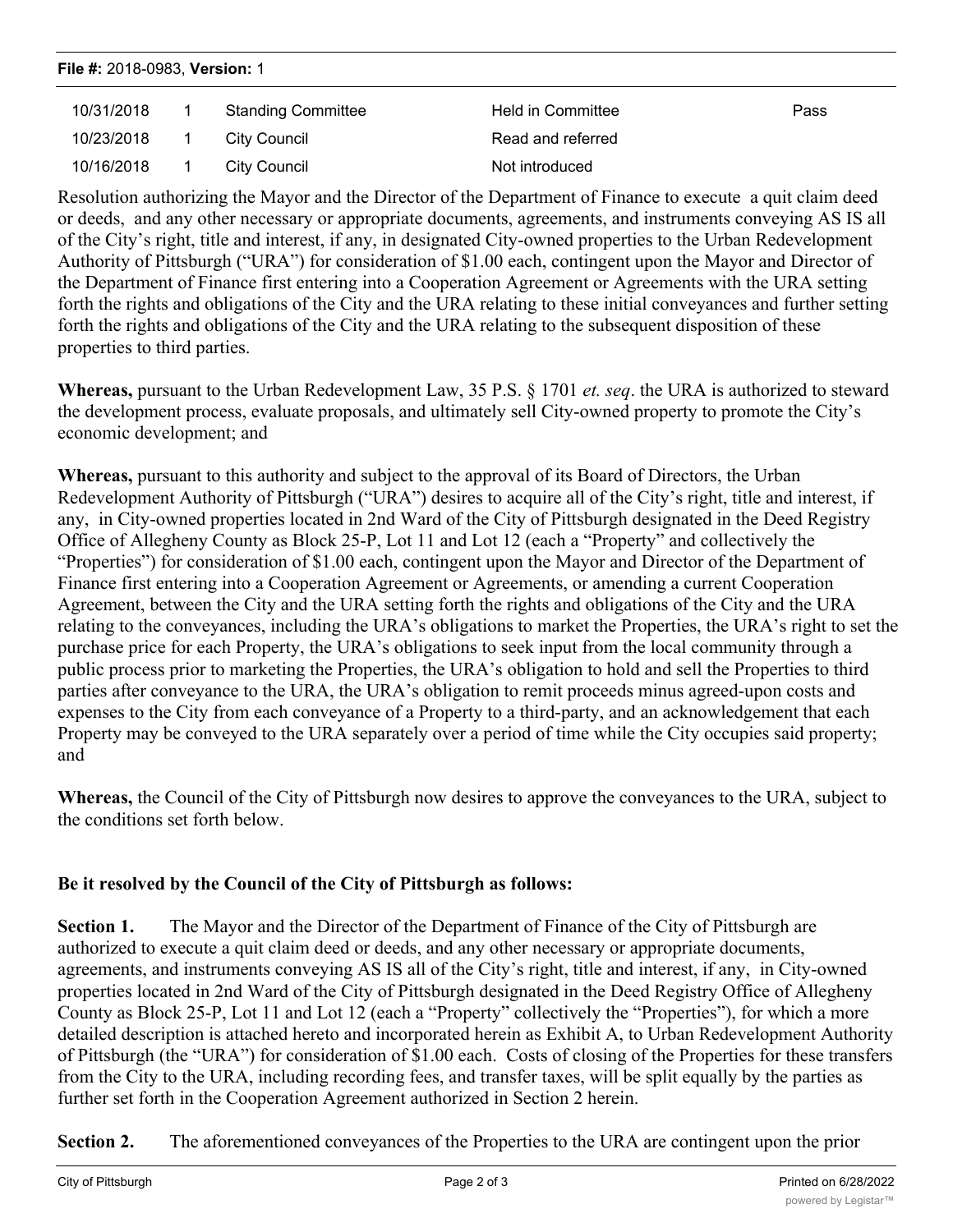| File #: 2018-0983, Version: 1 |  |                           |                   |      |  |
|-------------------------------|--|---------------------------|-------------------|------|--|
| 10/31/2018                    |  | <b>Standing Committee</b> | Held in Committee | Pass |  |
| 10/23/2018                    |  | City Council              | Read and referred |      |  |
| 10/16/2018                    |  | City Council              | Not introduced    |      |  |
|                               |  |                           |                   |      |  |

Resolution authorizing the Mayor and the Director of the Department of Finance to execute a quit claim deed or deeds, and any other necessary or appropriate documents, agreements, and instruments conveying AS IS all of the City's right, title and interest, if any, in designated City-owned properties to the Urban Redevelopment Authority of Pittsburgh ("URA") for consideration of \$1.00 each, contingent upon the Mayor and Director of the Department of Finance first entering into a Cooperation Agreement or Agreements with the URA setting forth the rights and obligations of the City and the URA relating to these initial conveyances and further setting forth the rights and obligations of the City and the URA relating to the subsequent disposition of these properties to third parties.

**Whereas,** pursuant to the Urban Redevelopment Law, 35 P.S. § 1701 *et. seq*. the URA is authorized to steward the development process, evaluate proposals, and ultimately sell City-owned property to promote the City's economic development; and

**Whereas,** pursuant to this authority and subject to the approval of its Board of Directors, the Urban Redevelopment Authority of Pittsburgh ("URA") desires to acquire all of the City's right, title and interest, if any, in City-owned properties located in 2nd Ward of the City of Pittsburgh designated in the Deed Registry Office of Allegheny County as Block 25-P, Lot 11 and Lot 12 (each a "Property" and collectively the "Properties") for consideration of \$1.00 each, contingent upon the Mayor and Director of the Department of Finance first entering into a Cooperation Agreement or Agreements, or amending a current Cooperation Agreement, between the City and the URA setting forth the rights and obligations of the City and the URA relating to the conveyances, including the URA's obligations to market the Properties, the URA's right to set the purchase price for each Property, the URA's obligations to seek input from the local community through a public process prior to marketing the Properties, the URA's obligation to hold and sell the Properties to third parties after conveyance to the URA, the URA's obligation to remit proceeds minus agreed-upon costs and expenses to the City from each conveyance of a Property to a third-party, and an acknowledgement that each Property may be conveyed to the URA separately over a period of time while the City occupies said property; and

**Whereas,** the Council of the City of Pittsburgh now desires to approve the conveyances to the URA, subject to the conditions set forth below.

## **Be it resolved by the Council of the City of Pittsburgh as follows:**

**Section 1.** The Mayor and the Director of the Department of Finance of the City of Pittsburgh are authorized to execute a quit claim deed or deeds, and any other necessary or appropriate documents, agreements, and instruments conveying AS IS all of the City's right, title and interest, if any, in City-owned properties located in 2nd Ward of the City of Pittsburgh designated in the Deed Registry Office of Allegheny County as Block 25-P, Lot 11 and Lot 12 (each a "Property" collectively the "Properties"), for which a more detailed description is attached hereto and incorporated herein as Exhibit A, to Urban Redevelopment Authority of Pittsburgh (the "URA") for consideration of \$1.00 each. Costs of closing of the Properties for these transfers from the City to the URA, including recording fees, and transfer taxes, will be split equally by the parties as further set forth in the Cooperation Agreement authorized in Section 2 herein.

**Section 2.** The aforementioned conveyances of the Properties to the URA are contingent upon the prior